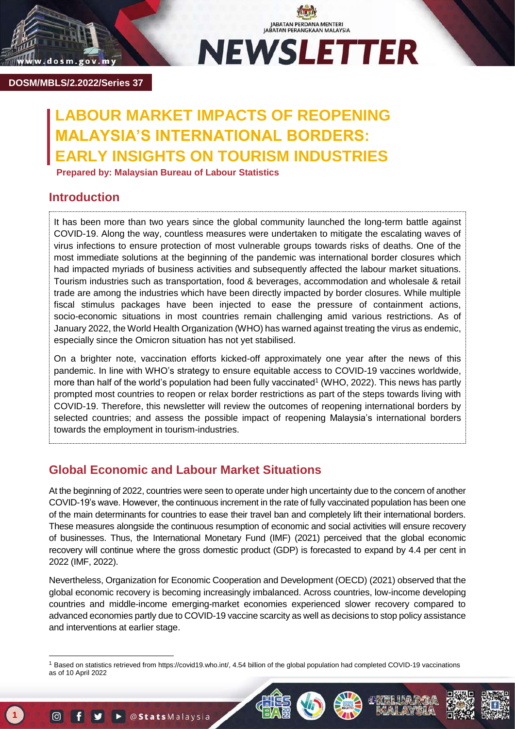

JABATAN PERDANA MENTERI<br>JABATAN PERANGKAAN MALAYSIA **NEWSLETTER** 

**DOSM/MBLS/2.2022/Series 37**

# **ABOUR MARKET IMPACTS OF REOPENING MALAYSIA'S INTERNATIONAL BORDERS: EARLY INSIGHTS ON TOURISM INDUSTRIES**

 **Prepared by: Malaysian Bureau of Labour Statistics**

# **Introduction**

It has been more than two years since the global community launched the long-term battle against COVID-19. Along the way, countless measures were undertaken to mitigate the escalating waves of virus infections to ensure protection of most vulnerable groups towards risks of deaths. One of the most immediate solutions at the beginning of the pandemic was international border closures which had impacted myriads of business activities and subsequently affected the labour market situations. Tourism industries such as transportation, food & beverages, accommodation and wholesale & retail trade are among the industries which have been directly impacted by border closures. While multiple fiscal stimulus packages have been injected to ease the pressure of containment actions, socio-economic situations in most countries remain challenging amid various restrictions. As of January 2022, the World Health Organization (WHO) has warned against treating the virus as endemic, especially since the Omicron situation has not yet stabilised.

On a brighter note, vaccination efforts kicked-off approximately one year after the news of this pandemic. In line with WHO's strategy to ensure equitable access to COVID-19 vaccines worldwide, more than half of the world's population had been fully vaccinated<sup>1</sup> (WHO, 2022). This news has partly prompted most countries to reopen or relax border restrictions as part of the steps towards living with COVID-19. Therefore, this newsletter will review the outcomes of reopening international borders by selected countries; and assess the possible impact of reopening Malaysia's international borders towards the employment in tourism-industries.

# **Global Economic and Labour Market Situations**

At the beginning of 2022, countries were seen to operate under high uncertainty due to the concern of another COVID-19's wave. However, the continuous increment in the rate of fully vaccinated population has been one of the main determinants for countries to ease their travel ban and completely lift their international borders. These measures alongside the continuous resumption of economic and social activities will ensure recovery of businesses. Thus, the International Monetary Fund (IMF) (2021) perceived that the global economic recovery will continue where the gross domestic product (GDP) is forecasted to expand by 4.4 per cent in 2022 (IMF, 2022).

Nevertheless, Organization for Economic Cooperation and Development (OECD) (2021) observed that the global economic recovery is becoming increasingly imbalanced. Across countries, low-income developing countries and middle-income emerging-market economies experienced slower recovery compared to advanced economies partly due to COVID-19 vaccine scarcity as well as decisions to stop policy assistance and interventions at earlier stage.

-

<sup>1</sup> Based on statistics retrieved from [https://covid19.who.int/,](https://covid19.who.int/) 4.54 billion of the global population had completed COVID-19 vaccinations as of 10 April 2022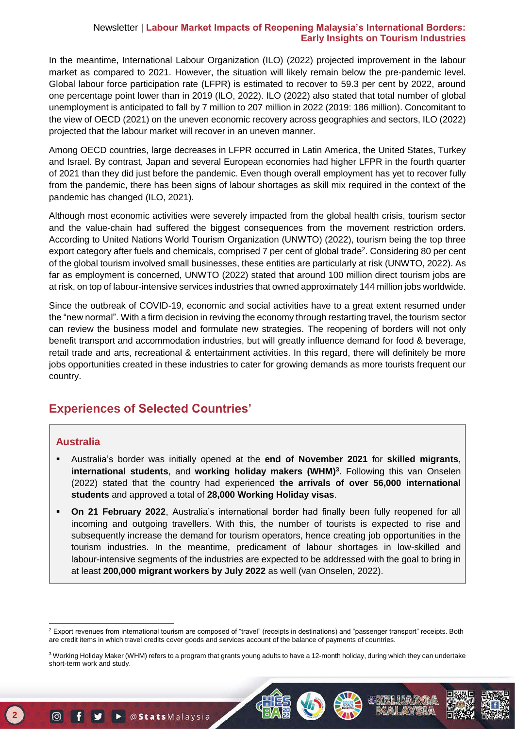In the meantime, International Labour Organization (ILO) (2022) projected improvement in the labour market as compared to 2021. However, the situation will likely remain below the pre-pandemic level. Global labour force participation rate (LFPR) is estimated to recover to 59.3 per cent by 2022, around one percentage point lower than in 2019 (ILO, 2022). ILO (2022) also stated that total number of global unemployment is anticipated to fall by 7 million to 207 million in 2022 (2019: 186 million). Concomitant to the view of OECD (2021) on the uneven economic recovery across geographies and sectors, ILO (2022) projected that the labour market will recover in an uneven manner.

Among OECD countries, large decreases in LFPR occurred in Latin America, the United States, Turkey and Israel. By contrast, Japan and several European economies had higher LFPR in the fourth quarter of 2021 than they did just before the pandemic. Even though overall employment has yet to recover fully from the pandemic, there has been signs of labour shortages as skill mix required in the context of the pandemic has changed (ILO, 2021).

Although most economic activities were severely impacted from the global health crisis, tourism sector and the value-chain had suffered the biggest consequences from the movement restriction orders. According to United Nations World Tourism Organization (UNWTO) (2022), tourism being the top three export category after fuels and chemicals, comprised 7 per cent of global trade<sup>2</sup>. Considering 80 per cent of the global tourism involved small businesses, these entities are particularly at risk (UNWTO, 2022). As far as employment is concerned, UNWTO (2022) stated that around 100 million direct tourism jobs are at risk, on top of labour-intensive services industries that owned approximately 144 million jobs worldwide.

Since the outbreak of COVID-19, economic and social activities have to a great extent resumed under the "new normal". With a firm decision in reviving the economy through restarting travel, the tourism sector can review the business model and formulate new strategies. The reopening of borders will not only benefit transport and accommodation industries, but will greatly influence demand for food & beverage, retail trade and arts, recreational & entertainment activities. In this regard, there will definitely be more jobs opportunities created in these industries to cater for growing demands as more tourists frequent our country.

# **Experiences of Selected Countries'**

### **Australia**

- Australia's border was initially opened at the **end of November 2021** for **skilled migrants**, **international students**, and **working holiday makers (WHM)<sup>3</sup>** . Following this van Onselen (2022) stated that the country had experienced **the arrivals of over 56,000 international students** and approved a total of **28,000 Working Holiday visas**.
- **On 21 February 2022**, Australia's international border had finally been fully reopened for all incoming and outgoing travellers. With this, the number of tourists is expected to rise and subsequently increase the demand for tourism operators, hence creating job opportunities in the tourism industries. In the meantime, predicament of labour shortages in low-skilled and labour-intensive segments of the industries are expected to be addressed with the goal to bring in at least **200,000 migrant workers by July 2022** as well (van Onselen, 2022).

<sup>-</sup><sup>2</sup> Export revenues from international tourism are composed of "travel" (receipts in destinations) and "passenger transport" receipts. Both are credit items in which travel credits cover goods and services account of the balance of payments of countries.

 short-term work and study. <sup>3</sup> Working Holiday Maker (WHM) refers to a program that grants young adults to have a 12-month holiday, during which they can undertake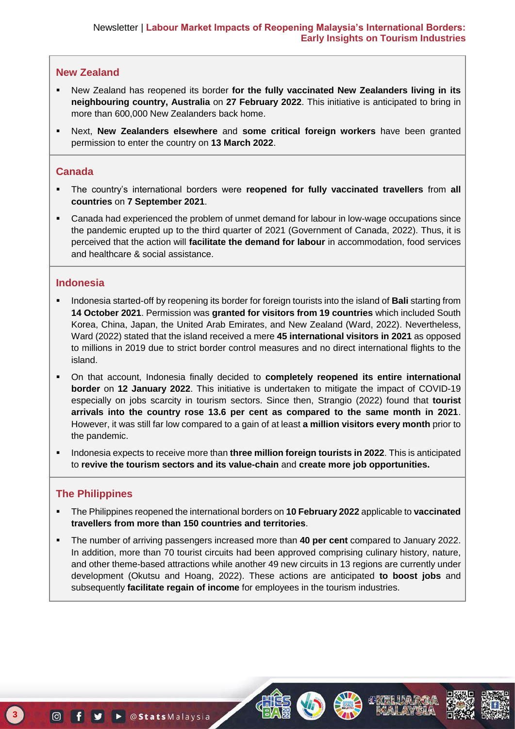### **New Zealand**

- New Zealand has reopened its border **for the fully vaccinated New Zealanders living in its neighbouring country, Australia** on **27 February 2022**. This initiative is anticipated to bring in more than 600,000 New Zealanders back home.
- Next, **New Zealanders elsewhere** and **some critical foreign workers** have been granted permission to enter the country on **13 March 2022**.

### **Canada**

- The country's international borders were **reopened for fully vaccinated travellers** from **all countries** on **7 September 2021**.
- Canada had experienced the problem of unmet demand for labour in low-wage occupations since the pandemic erupted up to the third quarter of 2021 (Government of Canada, 2022). Thus, it is perceived that the action will **facilitate the demand for labour** in accommodation, food services and healthcare & social assistance.

### **Indonesia**

- Indonesia started-off by reopening its border for foreign tourists into the island of **Bali** starting from **14 October 2021**. Permission was **granted for visitors from 19 countries** which included South Korea, China, Japan, the United Arab Emirates, and New Zealand (Ward, 2022). Nevertheless, Ward (2022) stated that the island received a mere **45 international visitors in 2021** as opposed to millions in 2019 due to strict border control measures and no direct international flights to the island.
- On that account, Indonesia finally decided to **completely reopened its entire international border** on **12 January 2022**. This initiative is undertaken to mitigate the impact of COVID-19 especially on jobs scarcity in tourism sectors. Since then, Strangio (2022) found that **tourist arrivals into the country rose 13.6 per cent as compared to the same month in 2021**. However, it was still far low compared to a gain of at least **a million visitors every month** prior to the pandemic.
- Indonesia expects to receive more than **three million foreign tourists in 2022**. This is anticipated to **revive the tourism sectors and its value-chain** and **create more job opportunities.**

### **The Philippines**

- The Philippines reopened the international borders on **10 February 2022** applicable to **vaccinated travellers from more than 150 countries and territories**.
- The number of arriving passengers increased more than **40 per cent** compared to January 2022. In addition, more than 70 tourist circuits had been approved comprising culinary history, nature, and other theme-based attractions while another 49 new circuits in 13 regions are currently under development (Okutsu and Hoang, 2022). These actions are anticipated **to boost jobs** and subsequently **facilitate regain of income** for employees in the tourism industries.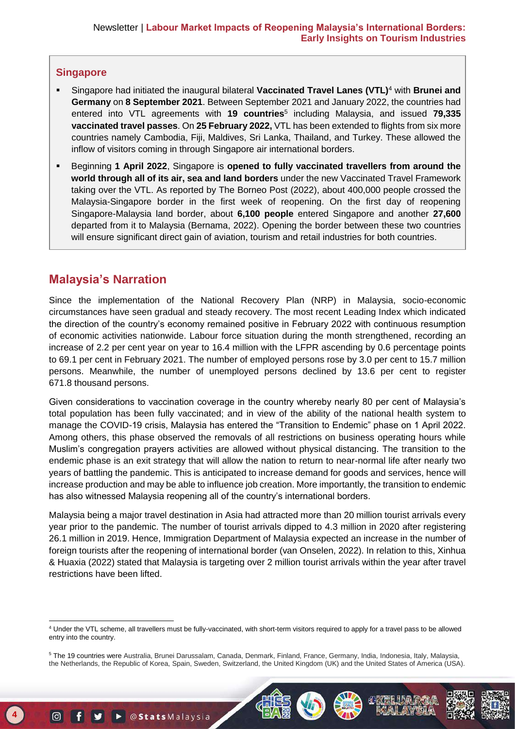### **Singapore**

- Singapore had initiated the inaugural bilateral **Vaccinated Travel Lanes (VTL)**<sup>4</sup> with **Brunei and Germany** on **8 September 2021**. Between September 2021 and January 2022, the countries had entered into VTL agreements with **19 countries**<sup>5</sup> including Malaysia, and issued **79,335 vaccinated travel passes**. On **25 February 2022,** VTL has been extended to flights from six more countries namely Cambodia, Fiji, Maldives, Sri Lanka, Thailand, and Turkey. These allowed the inflow of visitors coming in through Singapore air international borders.
- Beginning **1 April 2022**, Singapore is **opened to fully vaccinated travellers from around the world through all of its air, sea and land borders** under the new Vaccinated Travel Framework taking over the VTL. As reported by The Borneo Post (2022), about 400,000 people crossed the Malaysia-Singapore border in the first week of reopening. On the first day of reopening Singapore-Malaysia land border, about **6,100 people** entered Singapore and another **27,600**  departed from it to Malaysia (Bernama, 2022). Opening the border between these two countries will ensure significant direct gain of aviation, tourism and retail industries for both countries.

# **Malaysia's Narration**

Since the implementation of the National Recovery Plan (NRP) in Malaysia, socio-economic circumstances have seen gradual and steady recovery. The most recent Leading Index which indicated the direction of the country's economy remained positive in February 2022 with continuous resumption of economic activities nationwide. Labour force situation during the month strengthened, recording an increase of 2.2 per cent year on year to 16.4 million with the LFPR ascending by 0.6 percentage points to 69.1 per cent in February 2021. The number of employed persons rose by 3.0 per cent to 15.7 million persons. Meanwhile, the number of unemployed persons declined by 13.6 per cent to register 671.8 thousand persons.

Given considerations to vaccination coverage in the country whereby nearly 80 per cent of Malaysia's total population has been fully vaccinated; and in view of the ability of the national health system to manage the COVID-19 crisis, Malaysia has entered the "Transition to Endemic" phase on 1 April 2022. Among others, this phase observed the removals of all restrictions on business operating hours while Muslim's congregation prayers activities are allowed without physical distancing. The transition to the endemic phase is an exit strategy that will allow the nation to return to near-normal life after nearly two years of battling the pandemic. This is anticipated to increase demand for goods and services, hence will increase production and may be able to influence job creation. More importantly, the transition to endemic has also witnessed Malaysia reopening all of the country's international borders.

Malaysia being a major travel destination in Asia had attracted more than 20 million tourist arrivals every year prior to the pandemic. The number of tourist arrivals dipped to 4.3 million in 2020 after registering 26.1 million in 2019. Hence, Immigration Department of Malaysia expected an increase in the number of foreign tourists after the reopening of international border (van Onselen, 2022). In relation to this, Xinhua & Huaxia (2022) stated that Malaysia is targeting over 2 million tourist arrivals within the year after travel restrictions have been lifted.



<sup>-</sup><sup>4</sup> Under the VTL scheme, all travellers must be fully-vaccinated, with short-term visitors required to apply for a travel pass to be allowed entry into the country.

 the Netherlands, the Republic of Korea, Spain, Sweden, Switzerland, the United Kingdom (UK) and the United States of America (USA). <sup>5</sup> The 19 countries were Australia, Brunei Darussalam, Canada, Denmark, Finland, France, Germany, India, Indonesia, Italy, Malaysia,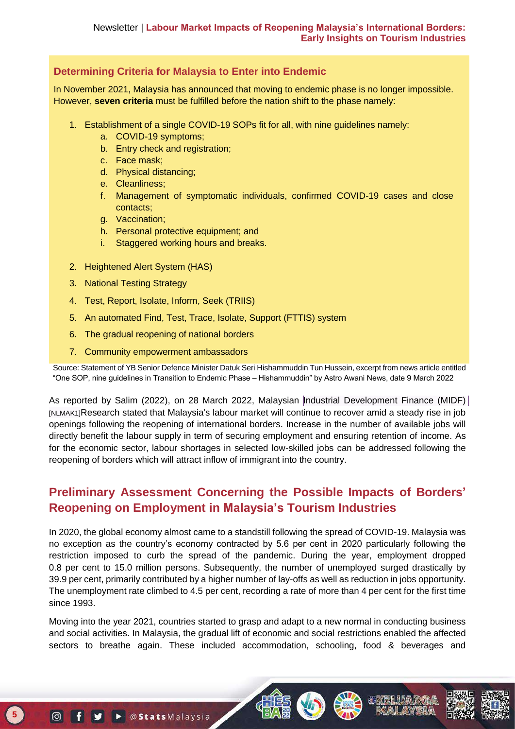### **Determining Criteria for Malaysia to Enter into Endemic**

In November 2021, Malaysia has announced that moving to endemic phase is no longer impossible. However, **seven criteria** must be fulfilled before the nation shift to the phase namely:

- 1. Establishment of a single COVID-19 SOPs fit for all, with nine guidelines namely:
	- a. COVID-19 symptoms;
	- b. Entry check and registration;
	- c. Face mask;
	- d. Physical distancing;
	- e. Cleanliness;
	- f. Management of symptomatic individuals, confirmed COVID-19 cases and close contacts;
	- g. Vaccination;
	- h. Personal protective equipment; and
	- i. Staggered working hours and breaks.
- 2. Heightened Alert System (HAS)
- 3. National Testing Strategy
- 4. Test, Report, Isolate, Inform, Seek (TRIIS)
- 5. An automated Find, Test, Trace, Isolate, Support (FTTIS) system
- 6. The gradual reopening of national borders
- 7. Community empowerment ambassadors

Source: Statement of YB Senior Defence Minister Datuk Seri Hishammuddin Tun Hussein, excerpt from news article entitled "One SOP, nine guidelines in Transition to Endemic Phase – Hishammuddin" by Astro Awani News, date 9 March 2022

As reported by Salim (2022), on 28 March 2022, Malaysian Industrial Development Finance (MIDF) [NLMAK1]Research stated that Malaysia's labour market will continue to recover amid a steady rise in job openings following the reopening of international borders. Increase in the number of available jobs will directly benefit the labour supply in term of securing employment and ensuring retention of income. As for the economic sector, labour shortages in selected low-skilled jobs can be addressed following the reopening of borders which will attract inflow of immigrant into the country.

# **Preliminary Assessment Concerning the Possible Impacts of Borders' Reopening on Employment in Malaysia's Tourism Industries**

In 2020, the global economy almost came to a standstill following the spread of COVID-19. Malaysia was no exception as the country's economy contracted by 5.6 per cent in 2020 particularly following the restriction imposed to curb the spread of the pandemic. During the year, employment dropped 0.8 per cent to 15.0 million persons. Subsequently, the number of unemployed surged drastically by 39.9 per cent, primarily contributed by a higher number of lay-offs as well as reduction in jobs opportunity. The unemployment rate climbed to 4.5 per cent, recording a rate of more than 4 per cent for the first time since 1993.

Moving into the year 2021, countries started to grasp and adapt to a new normal in conducting business and social activities. In Malaysia, the gradual lift of economic and social restrictions enabled the affected sectors to breathe again. These included accommodation, schooling, food & beverages and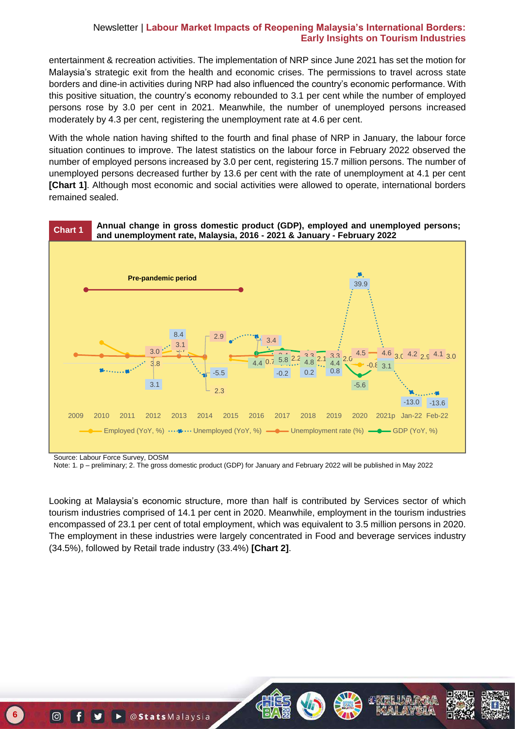entertainment & recreation activities. The implementation of NRP since June 2021 has set the motion for Malaysia's strategic exit from the health and economic crises. The permissions to travel across state borders and dine-in activities during NRP had also influenced the country's economic performance. With this positive situation, the country's economy rebounded to 3.1 per cent while the number of employed persons rose by 3.0 per cent in 2021. Meanwhile, the number of unemployed persons increased moderately by 4.3 per cent, registering the unemployment rate at 4.6 per cent.

With the whole nation having shifted to the fourth and final phase of NRP in January, the labour force situation continues to improve. The latest statistics on the labour force in February 2022 observed the number of employed persons increased by 3.0 per cent, registering 15.7 million persons. The number of unemployed persons decreased further by 13.6 per cent with the rate of unemployment at 4.1 per cent **[Chart 1]**. Although most economic and social activities were allowed to operate, international borders remained sealed.



Source: Labour Force Survey, DOSM

Note: 1. p – preliminary; 2. The gross domestic product (GDP) for January and February 2022 will be published in May 2022

Looking at Malaysia's economic structure, more than half is contributed by Services sector of which tourism industries comprised of 14.1 per cent in 2020. Meanwhile, employment in the tourism industries encompassed of 23.1 per cent of total employment, which was equivalent to 3.5 million persons in 2020. The employment in these industries were largely concentrated in Food and beverage services industry (34.5%), followed by Retail trade industry (33.4%) **[Chart 2]**.









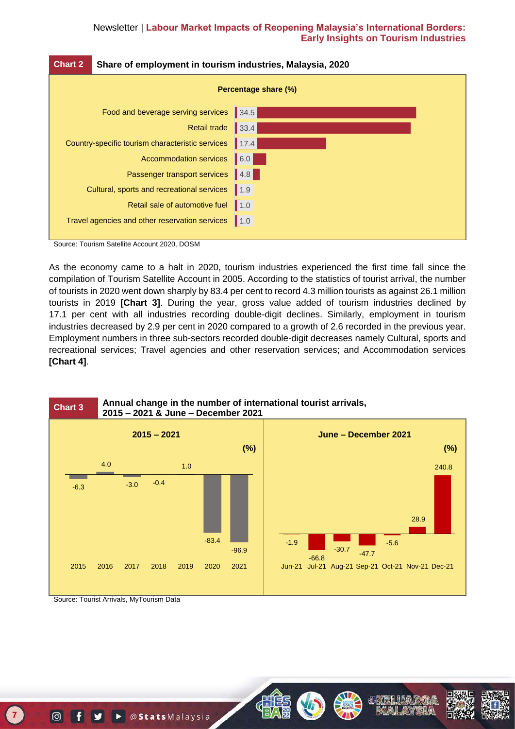| <b>Chart 2</b>                                   | Share of employment in tourism industries, Malaysia, 2020 |      |
|--------------------------------------------------|-----------------------------------------------------------|------|
| Percentage share (%)                             |                                                           |      |
| Food and beverage serving services               |                                                           | 34.5 |
|                                                  | <b>Retail trade</b>                                       | 33.4 |
| Country-specific tourism characteristic services |                                                           | 17.4 |
|                                                  | <b>Accommodation services</b>                             | 6.0  |
|                                                  | Passenger transport services                              | 4.8  |
|                                                  | Cultural, sports and recreational services                | 1.9  |
|                                                  | Retail sale of automotive fuel                            | 1.0  |
|                                                  | Travel agencies and other reservation services            | 1.0  |

Source: Tourism Satellite Account 2020, DOSM

As the economy came to a halt in 2020, tourism industries experienced the first time fall since the compilation of Tourism Satellite Account in 2005. According to the statistics of tourist arrival, the number of tourists in 2020 went down sharply by 83.4 per cent to record 4.3 million tourists as against 26.1 million tourists in 2019 **[Chart 3]**. During the year, gross value added of tourism industries declined by 17.1 per cent with all industries recording double-digit declines. Similarly, employment in tourism industries decreased by 2.9 per cent in 2020 compared to a growth of 2.6 recorded in the previous year. Employment numbers in three sub-sectors recorded double-digit decreases namely Cultural, sports and recreational services; Travel agencies and other reservation services; and Accommodation services **[Chart 4]**.



Source: Tourist Arrivals, MyTourism Data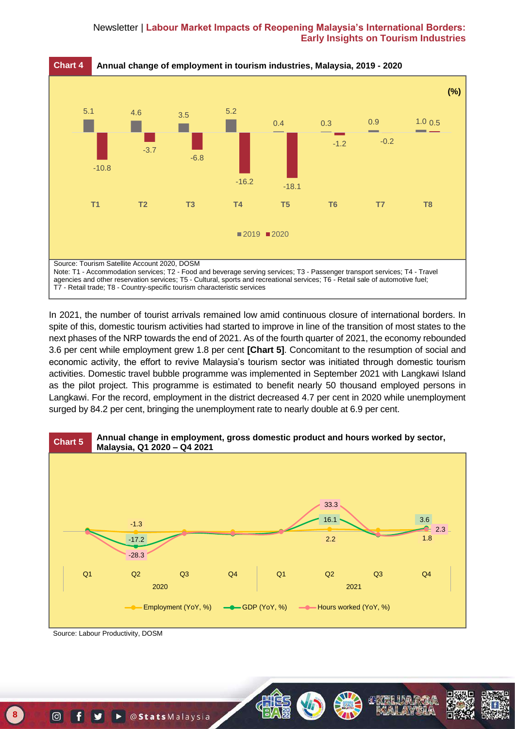

In 2021, the number of tourist arrivals remained low amid continuous closure of international borders. In spite of this, domestic tourism activities had started to improve in line of the transition of most states to the next phases of the NRP towards the end of 2021. As of the fourth quarter of 2021, the economy rebounded 3.6 per cent while employment grew 1.8 per cent **[Chart 5]**. Concomitant to the resumption of social and economic activity, the effort to revive Malaysia's tourism sector was initiated through domestic tourism activities. Domestic travel bubble programme was implemented in September 2021 with Langkawi Island as the pilot project. This programme is estimated to benefit nearly 50 thousand employed persons in Langkawi. For the record, employment in the district decreased 4.7 per cent in 2020 while unemployment surged by 84.2 per cent, bringing the unemployment rate to nearly double at 6.9 per cent.



Source: Labour Productivity, DOSM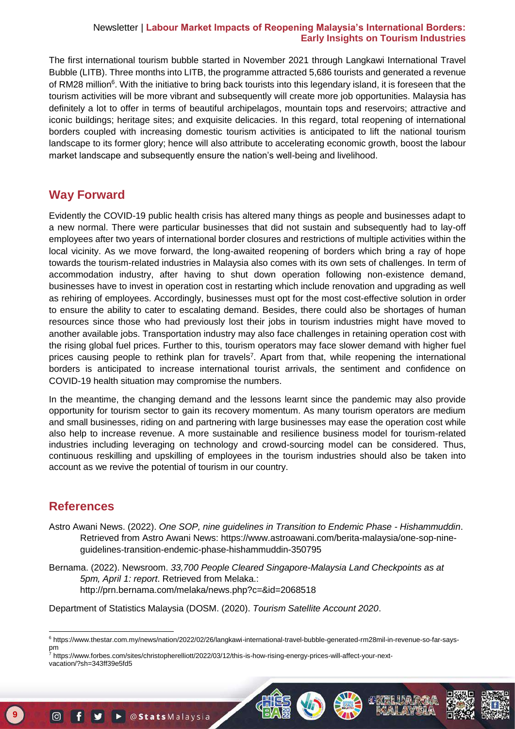The first international tourism bubble started in November 2021 through Langkawi International Travel Bubble (LITB). Three months into LITB, the programme attracted 5,686 tourists and generated a revenue of RM28 million<sup>6</sup>. With the initiative to bring back tourists into this legendary island, it is foreseen that the tourism activities will be more vibrant and subsequently will create more job opportunities. Malaysia has definitely a lot to offer in terms of beautiful archipelagos, mountain tops and reservoirs; attractive and iconic buildings; heritage sites; and exquisite delicacies. In this regard, total reopening of international borders coupled with increasing domestic tourism activities is anticipated to lift the national tourism landscape to its former glory; hence will also attribute to accelerating economic growth, boost the labour market landscape and subsequently ensure the nation's well-being and livelihood.

### **Way Forward**

Evidently the COVID-19 public health crisis has altered many things as people and businesses adapt to a new normal. There were particular businesses that did not sustain and subsequently had to lay-off employees after two years of international border closures and restrictions of multiple activities within the local vicinity. As we move forward, the long-awaited reopening of borders which bring a ray of hope towards the tourism-related industries in Malaysia also comes with its own sets of challenges. In term of accommodation industry, after having to shut down operation following non-existence demand, businesses have to invest in operation cost in restarting which include renovation and upgrading as well as rehiring of employees. Accordingly, businesses must opt for the most cost-effective solution in order to ensure the ability to cater to escalating demand. Besides, there could also be shortages of human resources since those who had previously lost their jobs in tourism industries might have moved to another available jobs. Transportation industry may also face challenges in retaining operation cost with the rising global fuel prices. Further to this, tourism operators may face slower demand with higher fuel prices causing people to rethink plan for travels<sup>7</sup>. Apart from that, while reopening the international borders is anticipated to increase international tourist arrivals, the sentiment and confidence on COVID-19 health situation may compromise the numbers.

In the meantime, the changing demand and the lessons learnt since the pandemic may also provide opportunity for tourism sector to gain its recovery momentum. As many tourism operators are medium and small businesses, riding on and partnering with large businesses may ease the operation cost while also help to increase revenue. A more sustainable and resilience business model for tourism-related industries including leveraging on technology and crowd-sourcing model can be considered. Thus, continuous reskilling and upskilling of employees in the tourism industries should also be taken into account as we revive the potential of tourism in our country.

## **References**

 $\overline{a}$ 

**9**

- Astro Awani News. (2022). *One SOP, nine guidelines in Transition to Endemic Phase - Hishammuddin*. Retrieved from Astro Awani News: https://www.astroawani.com/berita-malaysia/one-sop-nineguidelines-transition-endemic-phase-hishammuddin-350795
- Bernama. (2022). Newsroom. *33,700 People Cleared Singapore-Malaysia Land Checkpoints as at 5pm, April 1: report*. Retrieved from Melaka.: <http://prn.bernama.com/melaka/news.php?c=&id=2068518>

Department of Statistics Malaysia (DOSM. (2020). *Tourism Satellite Account 2020*.



<sup>6</sup> https://www.thestar.com.my/news/nation/2022/02/26/langkawi-international-travel-bubble-generated-rm28mil-in-revenue-so-far-sayspm

 vacation/?sh=343ff39e5fd5 <sup>7</sup> https://www.forbes.com/sites/christopherelliott/2022/03/12/this-is-how-rising-energy-prices-will-affect-your-next-